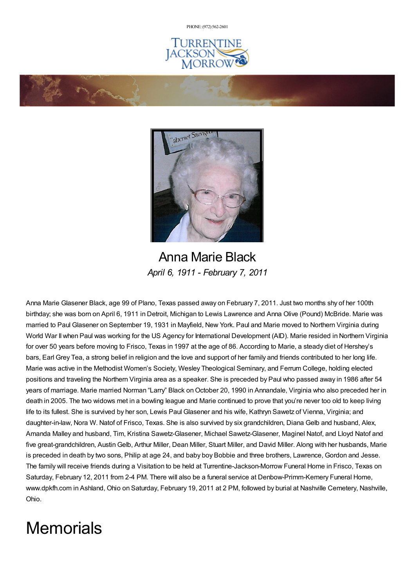PHONE: (972) [562-2601](tel:(972) 562-2601)





Anna Marie Black *April 6, 1911 - February 7, 2011*

Anna Marie Glasener Black, age 99 of Plano, Texas passed away on February 7, 2011. Just two months shy of her 100th birthday; she was born on April 6, 1911 in Detroit, Michigan to Lewis Lawrence and Anna Olive (Pound) McBride. Marie was married to Paul Glasener on September 19, 1931 in Mayfield, New York. Paul and Marie moved to Northern Virginia during World War II when Paul was working for the US Agency for International Development (AID). Marie resided in Northern Virginia for over 50 years before moving to Frisco, Texas in 1997 at the age of 86. According to Marie, a steady diet of Hershey's bars, Earl Grey Tea, a strong belief in religion and the love and support of her family and friends contributed to her long life. Marie was active in the Methodist Women's Society, Wesley Theological Seminary, and Ferrum College, holding elected positions and traveling the Northern Virginia area as a speaker. She is preceded by Paul who passed away in 1986 after 54 years of marriage. Marie married Norman "Larry" Black on October 20, 1990 in Annandale, Virginia who also preceded her in death in 2005. The two widows met in a bowling league and Marie continued to prove that you're never too old to keep living life to its fullest. She is survived by her son, Lewis Paul Glasener and his wife, Kathryn Sawetz of Vienna, Virginia; and daughter-in-law, Nora W. Natof of Frisco, Texas. She is also survived by six grandchildren, Diana Gelb and husband, Alex, Amanda Malley and husband, Tim, Kristina Sawetz-Glasener, Michael Sawetz-Glasener, Maginel Natof, and Lloyd Natof and five great-grandchildren, AustinGelb, Arthur Miller, Dean Miller, Stuart Miller, and David Miller. Along with her husbands, Marie is preceded in death by two sons, Philip at age 24, and baby boy Bobbie and three brothers, Lawrence, Gordon and Jesse. The family will receive friends during a Visitation to be held at Turrentine-Jackson-Morrow Funeral Home in Frisco, Texas on Saturday, February 12, 2011 from 2-4 PM. There will also be a funeral service at Denbow-Primm-Kemery Funeral Home, www.dpkfh.com in Ashland, Ohio on Saturday, February 19, 2011 at 2 PM, followed by burial at Nashville Cemetery, Nashville, Ohio.

## **Memorials**